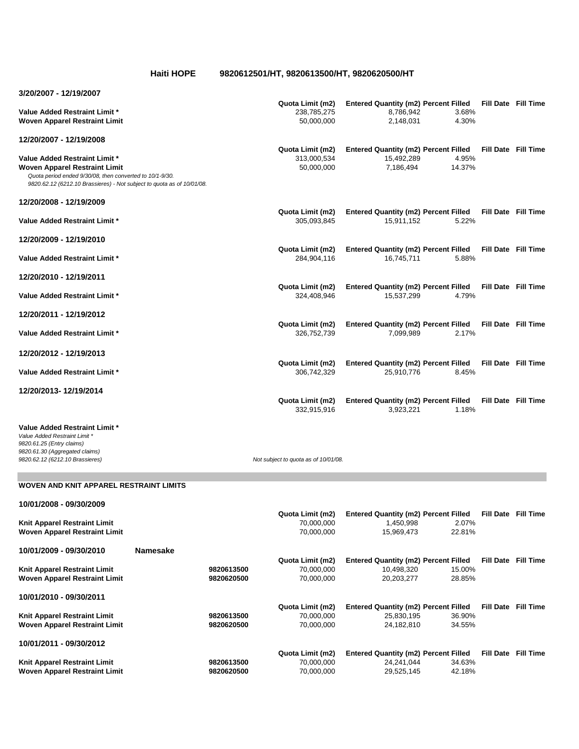**Haiti HOPE 9820612501/HT, 9820613500/HT, 9820620500/HT**

| 3/20/2007 - 12/19/2007                                                                                                                                                                                             |                 |                          |                                               |                                                                         |                  |                            |
|--------------------------------------------------------------------------------------------------------------------------------------------------------------------------------------------------------------------|-----------------|--------------------------|-----------------------------------------------|-------------------------------------------------------------------------|------------------|----------------------------|
| <b>Value Added Restraint Limit *</b><br><b>Woven Apparel Restraint Limit</b>                                                                                                                                       |                 |                          | Quota Limit (m2)<br>238,785,275<br>50,000,000 | <b>Entered Quantity (m2) Percent Filled</b><br>8,786,942<br>2,148,031   | 3.68%<br>4.30%   | Fill Date Fill Time        |
| 12/20/2007 - 12/19/2008                                                                                                                                                                                            |                 |                          |                                               |                                                                         |                  |                            |
| <b>Value Added Restraint Limit *</b><br><b>Woven Apparel Restraint Limit</b><br>Quota period ended 9/30/08, then converted to 10/1-9/30.<br>9820.62.12 (6212.10 Brassieres) - Not subject to quota as of 10/01/08. |                 |                          | Quota Limit (m2)<br>313,000,534<br>50,000,000 | <b>Entered Quantity (m2) Percent Filled</b><br>15,492,289<br>7,186,494  | 4.95%<br>14.37%  | Fill Date Fill Time        |
| 12/20/2008 - 12/19/2009                                                                                                                                                                                            |                 |                          |                                               |                                                                         |                  |                            |
| <b>Value Added Restraint Limit *</b>                                                                                                                                                                               |                 |                          | Quota Limit (m2)<br>305,093,845               | <b>Entered Quantity (m2) Percent Filled</b><br>15,911,152               | 5.22%            | Fill Date Fill Time        |
| 12/20/2009 - 12/19/2010                                                                                                                                                                                            |                 |                          |                                               |                                                                         |                  |                            |
| <b>Value Added Restraint Limit *</b>                                                                                                                                                                               |                 |                          | Quota Limit (m2)<br>284,904,116               | <b>Entered Quantity (m2) Percent Filled</b><br>16,745,711               | 5.88%            | <b>Fill Date Fill Time</b> |
| 12/20/2010 - 12/19/2011                                                                                                                                                                                            |                 |                          |                                               |                                                                         |                  |                            |
| <b>Value Added Restraint Limit *</b>                                                                                                                                                                               |                 |                          | Quota Limit (m2)<br>324,408,946               | <b>Entered Quantity (m2) Percent Filled</b><br>15,537,299               | 4.79%            | Fill Date Fill Time        |
| 12/20/2011 - 12/19/2012                                                                                                                                                                                            |                 |                          |                                               |                                                                         |                  |                            |
| <b>Value Added Restraint Limit *</b>                                                                                                                                                                               |                 |                          | Quota Limit (m2)<br>326,752,739               | <b>Entered Quantity (m2) Percent Filled</b><br>7,099,989                | 2.17%            | Fill Date Fill Time        |
| 12/20/2012 - 12/19/2013                                                                                                                                                                                            |                 |                          |                                               |                                                                         |                  |                            |
| <b>Value Added Restraint Limit *</b>                                                                                                                                                                               |                 |                          | Quota Limit (m2)<br>306,742,329               | <b>Entered Quantity (m2) Percent Filled</b><br>25,910,776               | 8.45%            | Fill Date Fill Time        |
| 12/20/2013-12/19/2014                                                                                                                                                                                              |                 |                          | Quota Limit (m2)                              | <b>Entered Quantity (m2) Percent Filled</b>                             |                  | <b>Fill Date Fill Time</b> |
|                                                                                                                                                                                                                    |                 |                          | 332,915,916                                   | 3,923,221                                                               | 1.18%            |                            |
| <b>Value Added Restraint Limit *</b><br>Value Added Restraint Limit *<br>9820.61.25 (Entry claims)<br>9820.61.30 (Aggregated claims)<br>9820.62.12 (6212.10 Brassieres)                                            |                 |                          | Not subject to quota as of 10/01/08.          |                                                                         |                  |                            |
| <b>WOVEN AND KNIT APPAREL RESTRAINT LIMITS</b>                                                                                                                                                                     |                 |                          |                                               |                                                                         |                  |                            |
|                                                                                                                                                                                                                    |                 |                          |                                               |                                                                         |                  |                            |
| 10/01/2008 - 09/30/2009                                                                                                                                                                                            |                 |                          | Quota Limit (m2)                              | <b>Entered Quantity (m2) Percent Filled</b>                             |                  | <b>Fill Date Fill Time</b> |
| Knit Apparel Restraint Limit<br><b>Woven Apparel Restraint Limit</b>                                                                                                                                               |                 |                          | 70,000,000<br>70,000,000                      | 1,450,998<br>15,969,473                                                 | 2.07%<br>22.81%  |                            |
| 10/01/2009 - 09/30/2010                                                                                                                                                                                            | <b>Namesake</b> |                          |                                               |                                                                         |                  |                            |
| Knit Apparel Restraint Limit<br><b>Woven Apparel Restraint Limit</b>                                                                                                                                               |                 | 9820613500<br>9820620500 | Quota Limit (m2)<br>70,000,000<br>70,000,000  | <b>Entered Quantity (m2) Percent Filled</b><br>10,498,320<br>20,203,277 | 15.00%<br>28.85% | <b>Fill Date Fill Time</b> |
| 10/01/2010 - 09/30/2011                                                                                                                                                                                            |                 |                          |                                               |                                                                         |                  |                            |
|                                                                                                                                                                                                                    |                 |                          | Quota Limit (m2)                              | <b>Entered Quantity (m2) Percent Filled</b>                             |                  | <b>Fill Date Fill Time</b> |
| Knit Apparel Restraint Limit<br><b>Woven Apparel Restraint Limit</b>                                                                                                                                               |                 | 9820613500<br>9820620500 | 70,000,000<br>70,000,000                      | 25,830,195<br>24,182,810                                                | 36.90%<br>34.55% |                            |
| 10/01/2011 - 09/30/2012                                                                                                                                                                                            |                 |                          |                                               |                                                                         |                  |                            |

**Quota Limit (m2) Entered Quantity (m2) Percent Filled Fill Date Fill Time Knit Apparel Restraint Limit 9820613500** 70,000,000 24,241,044 34.63% **Woven Apparel Restraint Limit 9820620500** 70,000,000 29,525,145 42.18%